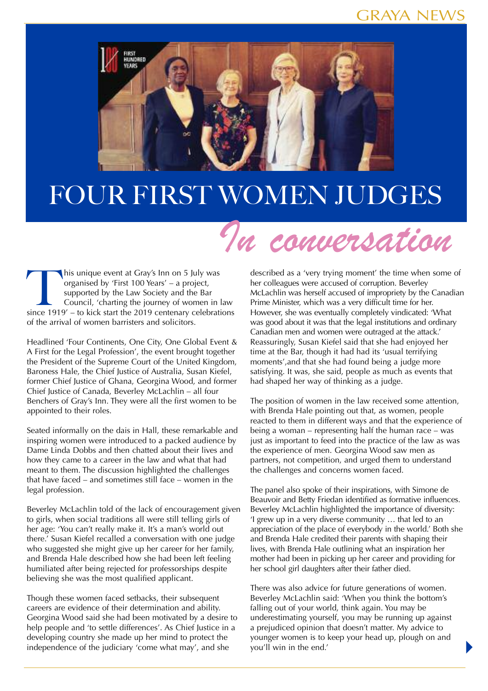## GRAYA NEWS



## Four First Women Judges

## In conversation

his unique event at Gray's Inn on 5 July was organised by 'First 100 Years' – a project, supported by the Law Society and the Bar Council, 'charting the journey of women in law since 1919' – to kick start the 2019 centenary celebrations of the arrival of women barristers and solicitors.

Headlined 'Four Continents, One City, One Global Event & A First for the Legal Profession', the event brought together the President of the Supreme Court of the United Kingdom, Baroness Hale, the Chief Justice of Australia, Susan Kiefel, former Chief Justice of Ghana, Georgina Wood, and former Chief Justice of Canada, Beverley McLachlin – all four Benchers of Gray's Inn. They were all the first women to be appointed to their roles.

Seated informally on the dais in Hall, these remarkable and inspiring women were introduced to a packed audience by Dame Linda Dobbs and then chatted about their lives and how they came to a career in the law and what that had meant to them. The discussion highlighted the challenges that have faced – and sometimes still face – women in the legal profession.

Beverley McLachlin told of the lack of encouragement given to girls, when social traditions all were still telling girls of her age: 'You can't really make it. It's a man's world out there.' Susan Kiefel recalled a conversation with one judge who suggested she might give up her career for her family, and Brenda Hale described how she had been left feeling humiliated after being rejected for professorships despite believing she was the most qualified applicant.

Though these women faced setbacks, their subsequent careers are evidence of their determination and ability. Georgina Wood said she had been motivated by a desire to help people and 'to settle differences'. As Chief Justice in a developing country she made up her mind to protect the independence of the judiciary 'come what may', and she

described as a 'very trying moment' the time when some of her colleagues were accused of corruption. Beverley McLachlin was herself accused of impropriety by the Canadian Prime Minister, which was a very difficult time for her. However, she was eventually completely vindicated: 'What was good about it was that the legal institutions and ordinary Canadian men and women were outraged at the attack.' Reassuringly, Susan Kiefel said that she had enjoyed her time at the Bar, though it had had its 'usual terrifying moments',and that she had found being a judge more satisfying. It was, she said, people as much as events that had shaped her way of thinking as a judge.

The position of women in the law received some attention, with Brenda Hale pointing out that, as women, people reacted to them in different ways and that the experience of being a woman – representing half the human race – was just as important to feed into the practice of the law as was the experience of men. Georgina Wood saw men as partners, not competition, and urged them to understand the challenges and concerns women faced.

The panel also spoke of their inspirations, with Simone de Beauvoir and Betty Friedan identified as formative influences. Beverley McLachlin highlighted the importance of diversity: 'I grew up in a very diverse community … that led to an appreciation of the place of everybody in the world.' Both she and Brenda Hale credited their parents with shaping their lives, with Brenda Hale outlining what an inspiration her mother had been in picking up her career and providing for her school girl daughters after their father died.

There was also advice for future generations of women. Beverley McLachlin said: 'When you think the bottom's falling out of your world, think again. You may be underestimating yourself, you may be running up against a prejudiced opinion that doesn't matter. My advice to younger women is to keep your head up, plough on and you'll win in the end.'

 $\blacktriangleright$